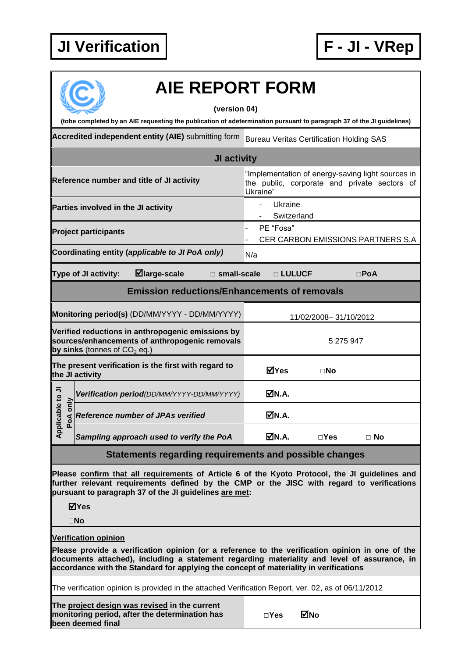## **JI Verification F - JI - VRep**



## **AIE REPORT FORM**

**(version 04)**

**(tobe completed by an AIE requesting the publication of adetermination pursuant to paragraph 37 of the JI guidelines)**

**Accredited independent entity (AIE)** submitting form Bureau Veritas Certification Holding SAS

| JI activity                                                                                                                           |                                            |                                          |                       |                                                                                                               |                       |          |              |               |  |
|---------------------------------------------------------------------------------------------------------------------------------------|--------------------------------------------|------------------------------------------|-----------------------|---------------------------------------------------------------------------------------------------------------|-----------------------|----------|--------------|---------------|--|
| Reference number and title of JI activity                                                                                             |                                            |                                          |                       | "Implementation of energy-saving light sources in<br>the public, corporate and private sectors of<br>Ukraine" |                       |          |              |               |  |
| Parties involved in the JI activity                                                                                                   |                                            |                                          |                       | Ukraine<br>Switzerland                                                                                        |                       |          |              |               |  |
| <b>Project participants</b>                                                                                                           |                                            |                                          |                       | PE "Fosa"<br><b>CER CARBON EMISSIONS PARTNERS S.A.</b>                                                        |                       |          |              |               |  |
| Coordinating entity (applicable to JI PoA only)                                                                                       |                                            |                                          |                       | N/a                                                                                                           |                       |          |              |               |  |
|                                                                                                                                       | Type of JI activity:                       | $\blacksquare$ large-scale               | $\square$ small-scale |                                                                                                               |                       | □ LULUCF |              | $\square$ PoA |  |
| <b>Emission reductions/Enhancements of removals</b>                                                                                   |                                            |                                          |                       |                                                                                                               |                       |          |              |               |  |
| Monitoring period(s) (DD/MM/YYYY - DD/MM/YYYY)                                                                                        |                                            |                                          |                       |                                                                                                               | 11/02/2008-31/10/2012 |          |              |               |  |
| Verified reductions in anthropogenic emissions by<br>sources/enhancements of anthropogenic removals<br>by sinks (tonnes of $CO2$ eq.) |                                            |                                          |                       |                                                                                                               | 5 275 947             |          |              |               |  |
| The present verification is the first with regard to<br>the JI activity                                                               |                                            |                                          |                       |                                                                                                               | <b>MYes</b>           |          | $\square$ No |               |  |
| Applicable to JI<br>PoA only                                                                                                          | Verification period(DD/MM/YYYY-DD/MM/YYYY) |                                          |                       |                                                                                                               | MN.A.                 |          |              |               |  |
|                                                                                                                                       |                                            | <b>Reference number of JPAs verified</b> |                       |                                                                                                               | M.A.                  |          |              |               |  |
|                                                                                                                                       | Sampling approach used to verify the PoA   |                                          |                       |                                                                                                               | MN.A.                 |          | $\Box$ Yes   | $\Box$ No     |  |

## **Statements regarding requirements and possible changes**

**Please confirm that all requirements of Article 6 of the Kyoto Protocol, the JI guidelines and further relevant requirements defined by the CMP or the JISC with regard to verifications pursuant to paragraph 37 of the JI guidelines are met:**

**Yes**

**No**

## **Verification opinion**

**Please provide a verification opinion (or a reference to the verification opinion in one of the documents attached), including a statement regarding materiality and level of assurance, in accordance with the Standard for applying the concept of materiality in verifications**

The verification opinion is provided in the attached Verification Report, ver. 02, as of 06/11/2012

**The project design was revised in the current monitoring period, after the determination has been deemed final**

| $\Box$ Yes | ⊠No |
|------------|-----|
|------------|-----|